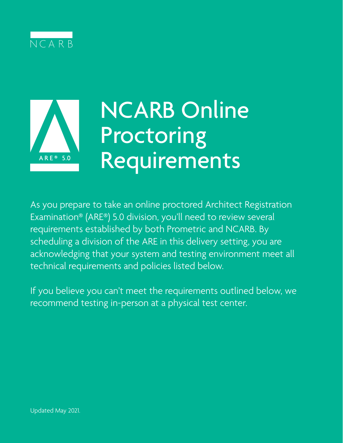



# NCARB Online Proctoring Requirements

As you prepare to take an online proctored Architect Registration Examination® (ARE®) 5.0 division, you'll need to review several requirements established by both Prometric and NCARB. By scheduling a division of the ARE in this delivery setting, you are acknowledging that your system and testing environment meet all technical requirements and policies listed below.

If you believe you can't meet the requirements outlined below, we recommend testing in-person at a physical test center.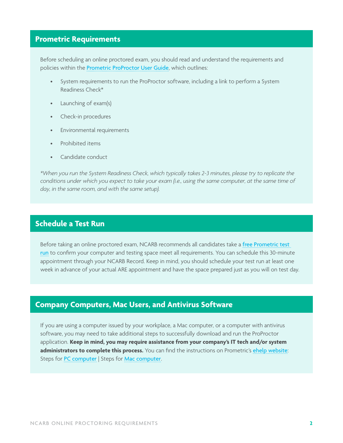### **Prometric Requirements**

Before scheduling an online proctored exam, you should read and understand the requirements and policies within the **[Prometric ProProctor User Guide](http://prometric.com/PrometricProUserGuide)**, which outlines:

- System requirements to run the ProProctor software, including a link to perform a System Readiness Check\*
- Launching of exam(s)
- Check-in procedures
- Environmental requirements
- Prohibited items
- Candidate conduct

*\*When you run the System Readiness Check, which typically takes 2-3 minutes, please try to replicate the conditions under which you expect to take your exam (i.e., using the same computer, at the same time of day, in the same room, and with the same setup).*

#### **Schedule a Test Run**

Before taking an online proctored exam, NCARB recommends all candidates take a [free Prometric test](https://www.ncarb.org/pass-the-are/online-proctoring/scheduling-test-run)  [run](https://www.ncarb.org/pass-the-are/online-proctoring/scheduling-test-run) to confirm your computer and testing space meet all requirements. You can schedule this 30-minute appointment through your NCARB Record. Keep in mind, you should schedule your test run at least one week in advance of your actual ARE appointment and have the space prepared just as you will on test day.

#### **Company Computers, Mac Users, and Antivirus Software**

If you are using a computer issued by your workplace, a Mac computer, or a computer with antivirus software, you may need to take additional steps to successfully download and run the ProProctor application. **Keep in mind, you may require assistance from your company's IT tech and/or system administrators to complete this process.** You can find the instructions on Prometric's [ehelp website](https://ehelp.prometric.com/proproctor): Steps for [PC computer](https://ehelp.prometric.com/proproctor/s/article/PPL-TECH003-General-Instructions-for-Corporate-Computers) | Steps for [Mac computer](https://ehelp.prometric.com/proproctor/s/article/PPL-TECH005-ProProctor-Software-Installation-Mac-OS).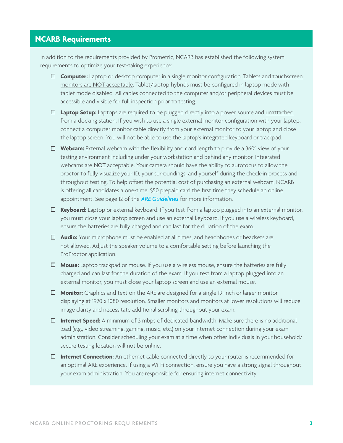## **NCARB Requirements**

In addition to the requirements provided by Prometric, NCARB has established the following system requirements to optimize your test-taking experience:

- □ Computer: Laptop or desktop computer in a single monitor configuration. Tablets and touchscreen monitors are NOT acceptable. Tablet/laptop hybrids must be configured in laptop mode with tablet mode disabled. All cables connected to the computer and/or peripheral devices must be accessible and visible for full inspection prior to testing.
- **Laptop Setup:** Laptops are required to be plugged directly into a power source and unattached from a docking station. If you wish to use a single external monitor configuration with your laptop, connect a computer monitor cable directly from your external monitor to your laptop and close the laptop screen. You will not be able to use the laptop's integrated keyboard or trackpad.
- □ Webcam: External webcam with the flexibility and cord length to provide a 360° view of your testing environment including under your workstation and behind any monitor. Integrated webcams are **NOT** acceptable. Your camera should have the ability to autofocus to allow the proctor to fully visualize your ID, your surroundings, and yourself during the check-in process and throughout testing. To help offset the potential cost of purchasing an external webcam, NCARB is offering all candidates a one-time, \$50 prepaid card the first time they schedule an online appointment. See page 12 of the *[ARE Guidelines](https://www.ncarb.org/sites/default/files/ARE-5-Guidelines.pdf)* for more information.
- **Keyboard:** Laptop or external keyboard. If you test from a laptop plugged into an external monitor, you must close your laptop screen and use an external keyboard. If you use a wireless keyboard, ensure the batteries are fully charged and can last for the duration of the exam.
- **Audio:** Your microphone must be enabled at all times, and headphones or headsets are not allowed. Adjust the speaker volume to a comfortable setting before launching the ProProctor application.
- **Mouse:** Laptop trackpad or mouse. If you use a wireless mouse, ensure the batteries are fully charged and can last for the duration of the exam. If you test from a laptop plugged into an external monitor, you must close your laptop screen and use an external mouse.
- **Monitor:** Graphics and text on the ARE are designed for a single 19-inch or larger monitor displaying at 1920 x 1080 resolution. Smaller monitors and monitors at lower resolutions will reduce image clarity and necessitate additional scrolling throughout your exam.
- **Internet Speed:** A minimum of 3 mbps of dedicated bandwidth. Make sure there is no additional load (e.g., video streaming, gaming, music, etc.) on your internet connection during your exam administration. Consider scheduling your exam at a time when other individuals in your household/ secure testing location will not be online.
- **Internet Connection:** An ethernet cable connected directly to your router is recommended for an optimal ARE experience. If using a Wi-Fi connection, ensure you have a strong signal throughout your exam administration. You are responsible for ensuring internet connectivity.